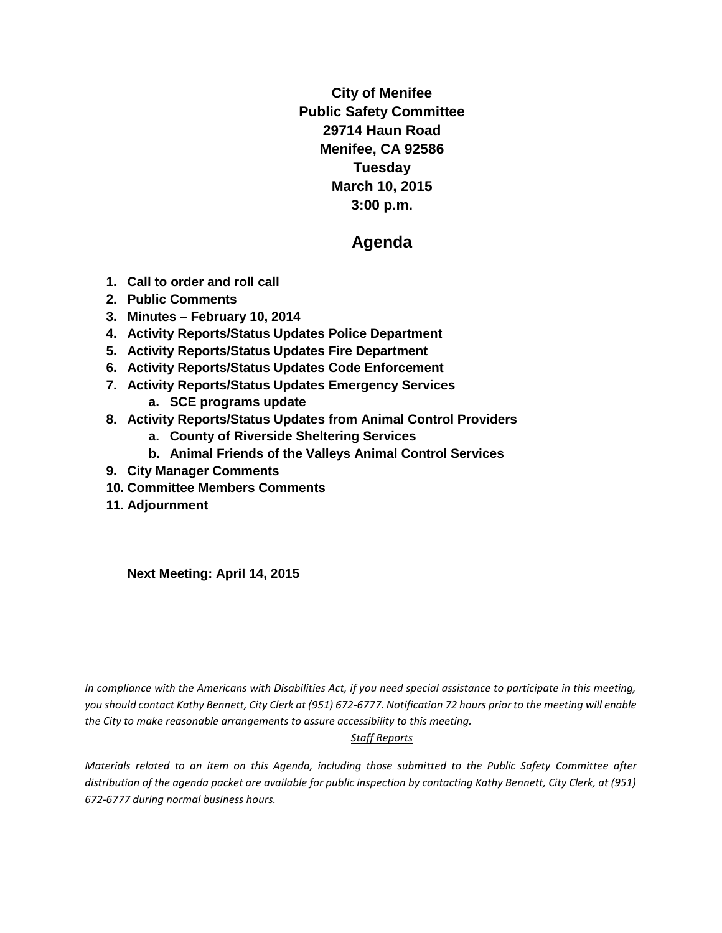**City of Menifee Public Safety Committee 29714 Haun Road Menifee, CA 92586 Tuesday March 10, 2015 3:00 p.m.**

# **Agenda**

- **1. Call to order and roll call**
- **2. Public Comments**
- **3. Minutes – February 10, 2014**
- **4. Activity Reports/Status Updates Police Department**
- **5. Activity Reports/Status Updates Fire Department**
- **6. Activity Reports/Status Updates Code Enforcement**
- **7. Activity Reports/Status Updates Emergency Services**
	- **a. SCE programs update**
- **8. Activity Reports/Status Updates from Animal Control Providers**
	- **a. County of Riverside Sheltering Services**
	- **b. Animal Friends of the Valleys Animal Control Services**
- **9. City Manager Comments**
- **10. Committee Members Comments**
- **11. Adjournment**

**Next Meeting: April 14, 2015**

*In compliance with the Americans with Disabilities Act, if you need special assistance to participate in this meeting, you should contact Kathy Bennett, City Clerk at (951) 672-6777. Notification 72 hours prior to the meeting will enable the City to make reasonable arrangements to assure accessibility to this meeting.* 

#### *Staff Reports*

*Materials related to an item on this Agenda, including those submitted to the Public Safety Committee after distribution of the agenda packet are available for public inspection by contacting Kathy Bennett, City Clerk, at (951) 672-6777 during normal business hours.*